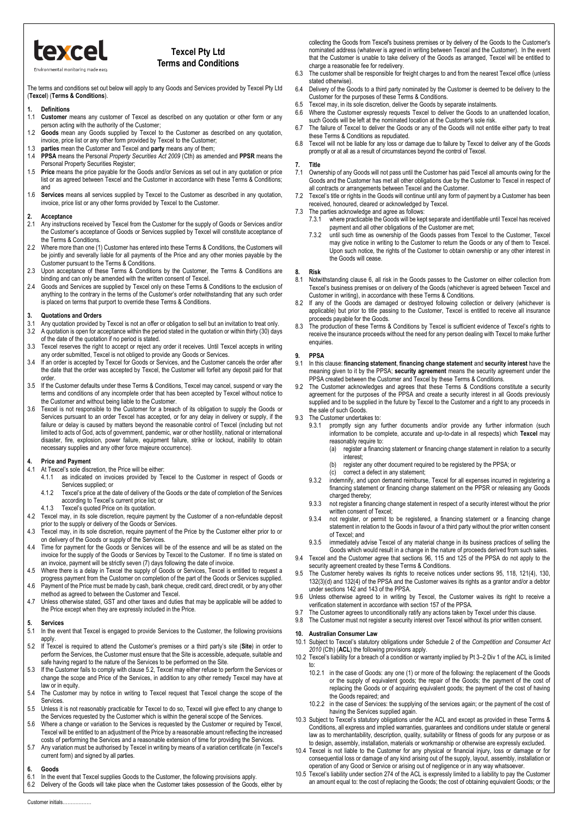

### **Texcel Pty Ltd Terms and Conditions**

Environmental monitoring made

The terms and conditions set out below will apply to any Goods and Services provided by Texcel Pty Ltd (**Texcel**) (**Terms & Conditions**).

### **1. Definitions**

- 1.1 **Customer** means any customer of Texcel as described on any quotation or other form or any person acting with the authority of the Customer;
- 1.2 **Goods** mean any Goods supplied by Texcel to the Customer as described on any quotation, invoice, price list or any other form provided by Texcel to the Customer;
- 1.3 **parties** mean the Customer and Texcel and **party** means any of them;
- 1.4 **PPSA** means the Personal *Property Securities Act 2009* (Cth) as amended and **PPSR** means the Personal Property Securities Register;
- 1.5 **Price** means the price payable for the Goods and/or Services as set out in any quotation or price list or as agreed between Texcel and the Customer in accordance with these Terms & Conditions; and
- 1.6 **Services** means all services supplied by Texcel to the Customer as described in any quotation, invoice, price list or any other forms provided by Texcel to the Customer.

### **2. Acceptance**

- 2.1 Any instructions received by Texcel from the Customer for the supply of Goods or Services and/or the Customer's acceptance of Goods or Services supplied by Texcel will constitute acceptance of the Terms & Conditions.
- 2.2 Where more than one (1) Customer has entered into these Terms & Conditions, the Customers will be jointly and severally liable for all payments of the Price and any other monies payable by the Customer pursuant to the Terms & Conditions.
- 2.3 Upon acceptance of these Terms & Conditions by the Customer, the Terms & Conditions are binding and can only be amended with the written consent of Texcel.
- 2.4 Goods and Services are supplied by Texcel only on these Terms & Conditions to the exclusion of anything to the contrary in the terms of the Customer's order notwithstanding that any such order is placed on terms that purport to override these Terms & Conditions.

# **3. Quotations and Orders**

- 3.1 Any quotation provided by Texcel is not an offer or obligation to sell but an invitation to treat only.<br>3.2 A quotation is open for acceptance within the period stated in the quotation or within thirty (30) day
- A quotation is open for acceptance within the period stated in the quotation or within thirty (30) days of the date of the quotation if no period is stated.
- 3.3 Texcel reserves the right to accept or reject any order it receives. Until Texcel accepts in writing any order submitted, Texcel is not obliged to provide any Goods or Services.
- 3.4 If an order is accepted by Texcel for Goods or Services, and the Customer cancels the order after the date that the order was accepted by Texcel, the Customer will forfeit any deposit paid for that order.
- 3.5 If the Customer defaults under these Terms & Conditions, Texcel may cancel, suspend or vary the terms and conditions of any incomplete order that has been accepted by Texcel without notice to the Customer and without being liable to the Customer.
- 3.6 Texcel is not responsible to the Customer for a breach of its obligation to supply the Goods or Services pursuant to an order Texcel has accepted, or for any delay in delivery or supply, if the failure or delay is caused by matters beyond the reasonable control of Texcel (including but not limited to acts of God, acts of government, pandemic, war or other hostility, national or international disaster, fire, explosion, power failure, equipment failure, strike or lockout, inability to obtain necessary supplies and any other force majeure occurrence).

## **4. Price and Payment**

- At Texcel's sole discretion, the Price will be either:
	- 4.1.1 as indicated on invoices provided by Texcel to the Customer in respect of Goods or Services supplied; or
	- 4.1.2 Texcel's price at the date of delivery of the Goods or the date of completion of the Services according to Texcel's current price list; or
- 4.1.3 Texcel's quoted Price on its quotation.
- 4.2 Texcel may, in its sole discretion, require payment by the Customer of a non-refundable deposit prior to the supply or delivery of the Goods or Services.
- 4.3 Texcel may, in its sole discretion, require payment of the Price by the Customer either prior to or on delivery of the Goods or supply of the Services.
- 4.4 Time for payment for the Goods or Services will be of the essence and will be as stated on the invoice for the supply of the Goods or Services by Texcel to the Customer. If no time is stated on an invoice, payment will be strictly seven (7) days following the date of invoice.
- 4.5 Where there is a delay in Texcel the supply of Goods or Services, Texcel is entitled to request a
- progress payment from the Customer on completion of the part of the Goods or Services supplied. 4.6 Payment of the Price must be made by cash, bank cheque, credit card, direct credit, or by any other method as agreed to between the Customer and Texcel.
- 4.7 Unless otherwise stated, GST and other taxes and duties that may be applicable will be added to the Price except when they are expressly included in the Price.

### **5. Services**

- 5.1 In the event that Texcel is engaged to provide Services to the Customer, the following provisions apply.
- <span id="page-0-0"></span>5.2 If Texcel is required to attend the Customer's premises or a third party's site (**Site**) in order to perform the Services, the Customer must ensure that the Site is accessible, adequate, suitable and safe having regard to the nature of the Services to be performed on the Site.
- 5.3 If the Customer fails to comply with claus[e 5.2,](#page-0-0) Texcel may either refuse to perform the Services or change the scope and Price of the Services, in addition to any other remedy Texcel may have at law or in equity.
- 5.4 The Customer may by notice in writing to Texcel request that Texcel change the scope of the **Services**
- 5.5 Unless it is not reasonably practicable for Texcel to do so, Texcel will give effect to any change to the Services requested by the Customer which is within the general scope of the Services.
- 5.6 Where a change or variation to the Services is requested by the Customer or required by Texcel, Texcel will be entitled to an adjustment of the Price by a reasonable amount reflecting the increased costs of performing the Services and a reasonable extension of time for providing the Services.
- 5.7 Any variation must be authorised by Texcel in writing by means of a variation certificate (in Texcel's current form) and signed by all parties.

## <span id="page-0-1"></span>**6. Goods**

- 6.1 In the event that Texcel supplies Goods to the Customer, the following provisions apply.<br>6.2 Delivery of the Goods will take place when the Customer takes possession of the Goods
- Delivery of the Goods will take place when the Customer takes possession of the Goods, either by

collecting the Goods from Texcel's business premises or by delivery of the Goods to the Customer's nominated address (whatever is agreed in writing between Texcel and the Customer). In the event that the Customer is unable to take delivery of the Goods as arranged, Texcel will be entitled to charge a reasonable fee for redelivery.

- 6.3 The customer shall be responsible for freight charges to and from the nearest Texcel office (unless stated otherwise).
- 6.4 Delivery of the Goods to a third party nominated by the Customer is deemed to be delivery to the Customer for the purposes of these Terms & Conditions.
- 6.5 Texcel may, in its sole discretion, deliver the Goods by separate instalments.
- 6.6 Where the Customer expressly requests Texcel to deliver the Goods to an unattended location,
- such Goods will be left at the nominated location at the Customer's sole risk. 6.7 The failure of Texcel to deliver the Goods or any of the Goods will not entitle either party to treat these Terms & Conditions as repudiated.
- 6.8 Texcel will not be liable for any loss or damage due to failure by Texcel to deliver any of the Goods promptly or at all as a result of circumstances beyond the control of Texcel.

## **7. Title**

- Ownership of any Goods will not pass until the Customer has paid Texcel all amounts owing for the Goods and the Customer has met all other obligations due by the Customer to Texcel in respect of all contracts or arrangements between Texcel and the Customer.
- 7.2 Texcel's title or rights in the Goods will continue until any form of payment by a Customer has been received, honoured, cleared or acknowledged by Texcel.
- 7.3 The parties acknowledge and agree as follows:<br>7.3.1 where practicable the Goods will be ker
	- where practicable the Goods will be kept separate and identifiable until Texcel has received payment and all other obligations of the Customer are met;
	- 7.3.2 until such time as ownership of the Goods passes from Texcel to the Customer, Texcel may give notice in writing to the Customer to return the Goods or any of them to Texcel. Upon such notice, the rights of the Customer to obtain ownership or any other interest in the Goods will cease.

## **8. Risk**

- Notwithstanding claus[e 6,](#page-0-1) all risk in the Goods passes to the Customer on either collection from Texcel's business premises or on delivery of the Goods (whichever is agreed between Texcel and Customer in writing), in accordance with these Terms & Conditions.
- 8.2 If any of the Goods are damaged or destroyed following collection or delivery (whichever is applicable) but prior to title passing to the Customer, Texcel is entitled to receive all insurance proceeds payable for the Goods.
- 8.3 The production of these Terms & Conditions by Texcel is sufficient evidence of Texcel's rights to receive the insurance proceeds without the need for any person dealing with Texcel to make further enquiries.

#### **9. PPSA**

- 9.1 In this clause: **financing statement**, **financing change statement** and **security interest** have the meaning given to it by the PPSA; **security agreement** means the security agreement under the PPSA created between the Customer and Texcel by these Terms & Conditions.
- 9.2 The Customer acknowledges and agrees that these Terms & Conditions constitute a security agreement for the purposes of the PPSA and create a security interest in all Goods previously supplied and to be supplied in the future by Texcel to the Customer and a right to any proceeds in the sale of such Goods.
- 9.3 The Customer undertakes to:
	- 9.3.1 promptly sign any further documents and/or provide any further information (such information to be complete, accurate and up-to-date in all respects) which **Texcel** may reasonably require to:<br>(a) register a financi
		- register a financing statement or financing change statement in relation to a security interest;
		- register any other document required to be registered by the PPSA; or
	- (c) correct a defect in any statement; 9.3.2 indemnify, and upon demand reimburse, Texcel for all expenses incurred in registering a
	- financing statement or financing change statement on the PPSR or releasing any Goods charged thereby:
	- 9.3.3 not register a financing change statement in respect of a security interest without the prior written consent of Texcel;
	- 9.3.4 not register, or permit to be registered, a financing statement or a financing change statement in relation to the Goods in favour of a third party without the prior written consent of Texcel; and
	- 9.3.5 immediately advise Texcel of any material change in its business practices of selling the Goods which would result in a change in the nature of proceeds derived from such sales.
- 9.4 Texcel and the Customer agree that sections 96, 115 and 125 of the PPSA do not apply to the security agreement created by these Terms & Conditions.
- 9.5 The Customer hereby waives its rights to receive notices under sections 95, 118, 121(4), 130, 132(3)(d) and 132(4) of the PPSA and the Customer waives its rights as a grantor and/or a debtor under sections 142 and 143 of the PPSA.
- 9.6 Unless otherwise agreed to in writing by Texcel, the Customer waives its right to receive a verification statement in accordance with section 157 of the PPSA.
- 9.7 The Customer agrees to unconditionally ratify any actions taken by Texcel under this clause.<br>9.8 The Customer must not register a security interest over Texcel without its prior written conse
- The Customer must not register a security interest over Texcel without its prior written consent.

## **10. Australian Consumer Law**

- 10.1 Subject to Texcel's statutory obligations under Schedule 2 of the *Competition and Consumer Act 2010* (Cth) (**ACL**) the following provisions apply.
- 10.2 Texcel's liability for a breach of a condition or warranty implied by Pt 3–2 Div 1 of the ACL is limited to:
	- 10.2.1 in the case of Goods: any one (1) or more of the following: the replacement of the Goods or the supply of equivalent goods; the repair of the Goods; the payment of the cost of replacing the Goods or of acquiring equivalent goods; the payment of the cost of having the Goods repaired; and
	- 10.2.2 in the case of Services: the supplying of the services again; or the payment of the cost of having the Services supplied again.
- 10.3 Subject to Texcel's statutory obligations under the ACL and except as provided in these Terms & Conditions, all express and implied warranties, guarantees and conditions under statute or general law as to merchantability, description, quality, suitability or fitness of goods for any purpose or as to design, assembly, installation, materials or workmanship or otherwise are expressly excluded.
- 10.4 Texcel is not liable to the Customer for any physical or financial injury, loss or damage or for consequential loss or damage of any kind arising out of the supply, layout, assembly, installation or operation of any Good or Service or arising out of negligence or in any way whatsoever.
- 10.5 Texcel's liability under section 274 of the ACL is expressly limited to a liability to pay the Customer an amount equal to: the cost of replacing the Goods; the cost of obtaining equivalent Goods; or the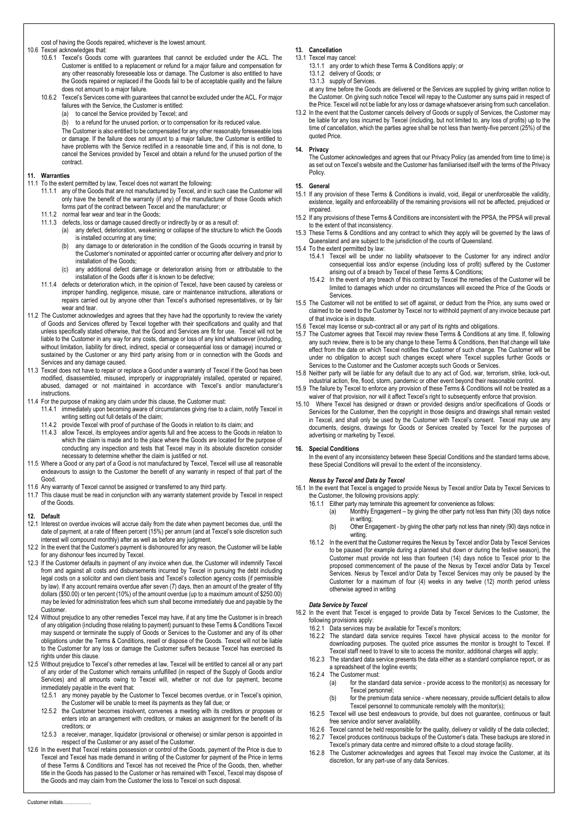cost of having the Goods repaired, whichever is the lowest amount.

10.6 Texcel acknowledges that:

- 10.6.1 Texcel's Goods come with guarantees that cannot be excluded under the ACL. The Customer is entitled to a replacement or refund for a major failure and compensation for any other reasonably foreseeable loss or damage. The Customer is also entitled to have the Goods repaired or replaced if the Goods fail to be of acceptable quality and the failure does not amount to a major failure.
- 10.6.2 Texcel's Services come with guarantees that cannot be excluded under the ACL. For major failures with the Service, the Customer is entitled:
	- (a) to cancel the Service provided by Texcel; and
	- (b) to a refund for the unused portion, or to compensation for its reduced value.

The Customer is also entitled to be compensated for any other reasonably foreseeable loss or damage. If the failure does not amount to a major failure, the Customer is entitled to have problems with the Service rectified in a reasonable time and, if this is not done, to cancel the Services provided by Texcel and obtain a refund for the unused portion of the contract.

#### **11. Warranties**

- 11.1 To the extent permitted by law, Texcel does not warrant the following:
	- 11.1.1 any of the Goods that are not manufactured by Texcel, and in such case the Customer will only have the benefit of the warranty (if any) of the manufacturer of those Goods which forms part of the contract between Texcel and the manufacturer; or
	- 11.1.2 normal fear wear and tear in the Goods;
	- 11.1.3 defects, loss or damage caused directly or indirectly by or as a result of:
		- (a) any defect, deterioration, weakening or collapse of the structure to which the Goods is installed occurring at any time;
		- (b) any damage to or deterioration in the condition of the Goods occurring in transit by the Customer's nominated or appointed carrier or occurring after delivery and prior to installation of the Goods;
		- (c) any additional defect damage or deterioration arising from or attributable to the installation of the Goods after it is known to be defective;
	- 11.1.4 defects or deterioration which, in the opinion of Texcel, have been caused by careless or improper handling, negligence, misuse, care or maintenance instructions, alterations or repairs carried out by anyone other than Texcel's authorised representatives, or by fair wear and tear.
- 11.2 The Customer acknowledges and agrees that they have had the opportunity to review the variety of Goods and Services offered by Texcel together with their specifications and quality and that unless specifically stated otherwise, that the Good and Services are fit for use. Texcel will not be liable to the Customer in any way for any costs, damage or loss of any kind whatsoever (including, without limitation, liability for direct, indirect, special or consequential loss or damage) incurred or sustained by the Customer or any third party arising from or in connection with the Goods and Services and any damage caused.
- 11.3 Texcel does not have to repair or replace a Good under a warranty of Texcel if the Good has been modified, disassembled, misused, improperly or inappropriately installed, operated or repaired, abused, damaged or not maintained in accordance with Texcel's and/or manufacturer's instructions.
- 11.4 For the purpose of making any claim under this clause, the Customer must:
	- 11.4.1 immediately upon becoming aware of circumstances giving rise to a claim, notify Texcel in writing setting out full details of the claim;
	- 11.4.2 provide Texcel with proof of purchase of the Goods in relation to its claim; and
	- 11.4.3 allow Texcel, its employees and/or agents full and free access to the Goods in relation to which the claim is made and to the place where the Goods are located for the purpose of conducting any inspection and tests that Texcel may in its absolute discretion consider necessary to determine whether the claim is justified or not.
- 11.5 Where a Good or any part of a Good is not manufactured by Texcel, Texcel will use all reasonable endeavours to assign to the Customer the benefit of any warranty in respect of that part of the Good.
- 11.6 Any warranty of Texcel cannot be assigned or transferred to any third party.
- 11.7 This clause must be read in conjunction with any warranty statement provide by Texcel in respect of the Goods.

#### **12. Default**

- 12.1 Interest on overdue invoices will accrue daily from the date when payment becomes due, until the date of payment, at a rate of fifteen percent (15%) per annum (and at Texcel's sole discretion such interest will compound monthly) after as well as before any judgment.
- 12.2 In the event that the Customer's payment is dishonoured for any reason, the Customer will be liable for any dishonour fees incurred by Texcel.
- 12.3 If the Customer defaults in payment of any invoice when due, the Customer will indemnify Texcel from and against all costs and disbursements incurred by Texcel in pursuing the debt including legal costs on a solicitor and own client basis and Texcel's collection agency costs (if permissible by law). If any account remains overdue after seven (7) days, then an amount of the greater of fifty dollars (\$50.00) or ten percent (10%) of the amount overdue (up to a maximum amount of \$250.00) may be levied for administration fees which sum shall become immediately due and payable by the Customer.
- 12.4 Without prejudice to any other remedies Texcel may have, if at any time the Customer is in breach of any obligation (including those relating to payment) pursuant to these Terms & Conditions Texcel may suspend or terminate the supply of Goods or Services to the Customer and any of its other obligations under the Terms & Conditions, resell or dispose of the Goods. Texcel will not be liable to the Customer for any loss or damage the Customer suffers because Texcel has exercised its rights under this clause.
- 12.5 Without prejudice to Texcel's other remedies at law, Texcel will be entitled to cancel all or any part of any order of the Customer which remains unfulfilled (in respect of the Supply of Goods and/or Services) and all amounts owing to Texcel will, whether or not due for payment, become immediately payable in the event that:
	- 12.5.1 any money payable by the Customer to Texcel becomes overdue, or in Texcel's opinion, the Customer will be unable to meet its payments as they fall due; or
	- 12.5.2 the Customer becomes insolvent, convenes a meeting with its creditors or proposes or enters into an arrangement with creditors, or makes an assignment for the benefit of its creditors; or
	- 12.5.3 a receiver, manager, liquidator (provisional or otherwise) or similar person is appointed in respect of the Customer or any asset of the Customer.
- 12.6 In the event that Texcel retains possession or control of the Goods, payment of the Price is due to Texcel and Texcel has made demand in writing of the Customer for payment of the Price in terms of these Terms & Conditions and Texcel has not received the Price of the Goods, then, whether title in the Goods has passed to the Customer or has remained with Texcel, Texcel may dispose of the Goods and may claim from the Customer the loss to Texcel on such disposal.
- **13. Cancellation**
- 13.1 Texcel may cancel:
	- 13.1.1 any order to which these Terms & Conditions apply; or
	- 13.1.2 delivery of Goods; or 13.1.3 supply of Services.

at any time before the Goods are delivered or the Services are supplied by giving written notice to

the Customer. On giving such notice Texcel will repay to the Customer any sums paid in respect of the Price. Texcel will not be liable for any loss or damage whatsoever arising from such cancellation.

13.2 In the event that the Customer cancels delivery of Goods or supply of Services, the Customer may be liable for any loss incurred by Texcel (including, but not limited to, any loss of profits) up to the time of cancellation, which the parties agree shall be not less than twenty-five percent (25%) of the quoted Price.

#### **14. Privacy**

The Customer acknowledges and agrees that our Privacy Policy (as amended from time to time) is as set out on Texcel's website and the Customer has familiarised itself with the terms of the Privacy Policy.

- **15. General** If any provision of these Terms & Conditions is invalid, void, illegal or unenforceable the validity, existence, legality and enforceability of the remaining provisions will not be affected, prejudiced or impaired.
- 15.2 If any provisions of these Terms & Conditions are inconsistent with the PPSA, the PPSA will prevail to the extent of that inconsistency.
- 15.3 These Terms & Conditions and any contract to which they apply will be governed by the laws of Queensland and are subject to the jurisdiction of the courts of Queensland.
- 15.4 To the extent permitted by law:
	- 15.4.1 Texcel will be under no liability whatsoever to the Customer for any indirect and/or consequential loss and/or expense (including loss of profit) suffered by the Customer arising out of a breach by Texcel of these Terms & Conditions;
	- 15.4.2 In the event of any breach of this contract by Texcel the remedies of the Customer will be limited to damages which under no circumstances will exceed the Price of the Goods or **Services**
- 15.5 The Customer will not be entitled to set off against, or deduct from the Price, any sums owed or claimed to be owed to the Customer by Texcel nor to withhold payment of any invoice because part of that invoice is in dispute.
- 15.6 Texcel may license or sub-contract all or any part of its rights and obligations.
- 15.7 The Customer agrees that Texcel may review these Terms & Conditions at any time. If, following any such review, there is to be any change to these Terms & Conditions, then that change will take effect from the date on which Texcel notifies the Customer of such change. The Customer will be under no obligation to accept such changes except where Texcel supplies further Goods or Services to the Customer and the Customer accepts such Goods or Services.
- 15.8 Neither party will be liable for any default due to any act of God, war, terrorism, strike, lock-out, industrial action, fire, flood, storm, pandemic or other event beyond their reasonable control.
- 15.9 The failure by Texcel to enforce any provision of these Terms & Conditions will not be treated as a waiver of that provision, nor will it affect Texcel's right to subsequently enforce that provision.
- 15.10 Where Texcel has designed or drawn or provided designs and/or specifications of Goods or Services for the Customer, then the copyright in those designs and drawings shall remain vested in Texcel, and shall only be used by the Customer with Texcel's consent. Texcel may use any documents, designs, drawings for Goods or Services created by Texcel for the purposes of advertising or marketing by Texcel.

#### **16. Special Conditions**

In the event of any inconsistency between these Special Conditions and the standard terms above, these Special Conditions will prevail to the extent of the inconsistency.

#### *Nexus by Texcel and Data by Texcel*

16.1 In the event that Texcel is engaged to provide Nexus by Texcel and/or Data by Texcel Services to the Customer, the following provisions apply:

- 16.1.1 Either party may terminate this agreement for convenience as follows:<br>(a) Monthly Engagement by giving the other party not less than
	- Monthly Engagement by giving the other party not less than thirty (30) days notice in writing;
	- (b) Other Engagement by giving the other party not less than ninety (90) days notice in writing.
- 16.1.2 In the event that the Customer requires the Nexus by Texcel and/or Data by Texcel Services to be paused (for example during a planned shut down or during the festive season), the Customer must provide not less than fourteen (14) days notice to Texcel prior to the proposed commencement of the pause of the Nexus by Texcel and/or Data by Texcel Services. Nexus by Texcel and/or Data by Texcel Services may only be paused by the Customer for a maximum of four (4) weeks in any twelve (12) month period unless otherwise agreed in writing

#### *Data Service by Texcel*

- 16.2 In the event that Texcel is engaged to provide Data by Texcel Services to the Customer, the following provisions apply:
	- 16.2.1 Data services may be available for Texcel's monitors;
	- 16.2.2 The standard data service requires Texcel have physical access to the monitor for downloading purposes. The quoted price assumes the monitor is brought to Texcel. If Texcel staff need to travel to site to access the monitor, additional charges will apply;
	- 16.2.3 The standard data service presents the data either as a standard compliance report, or as a spreadsheet of the logline events;
	- 16.2.4 The Customer must:
		- (a) for the standard data service provide access to the monitor(s) as necessary for Texcel personnel;
		- (b) for the premium data service where necessary, provide sufficient details to allow Texcel personnel to communicate remotely with the monitor(s);
	- 16.2.5 Texcel will use best endeavours to provide, but does not guarantee, continuous or fault free service and/or server availability.
	- 16.2.6 Texcel cannot be held responsible for the quality, delivery or validity of the data collected; 16.2.7 Texcel produces continuous backups of the Customer's data. These backups are stored in
	- Texcel's primary data centre and mirrored offsite to a cloud storage facility. 16.2.8 The Customer acknowledges and agrees that Texcel may invoice the Customer, at its discretion, for any part-use of any data Services.